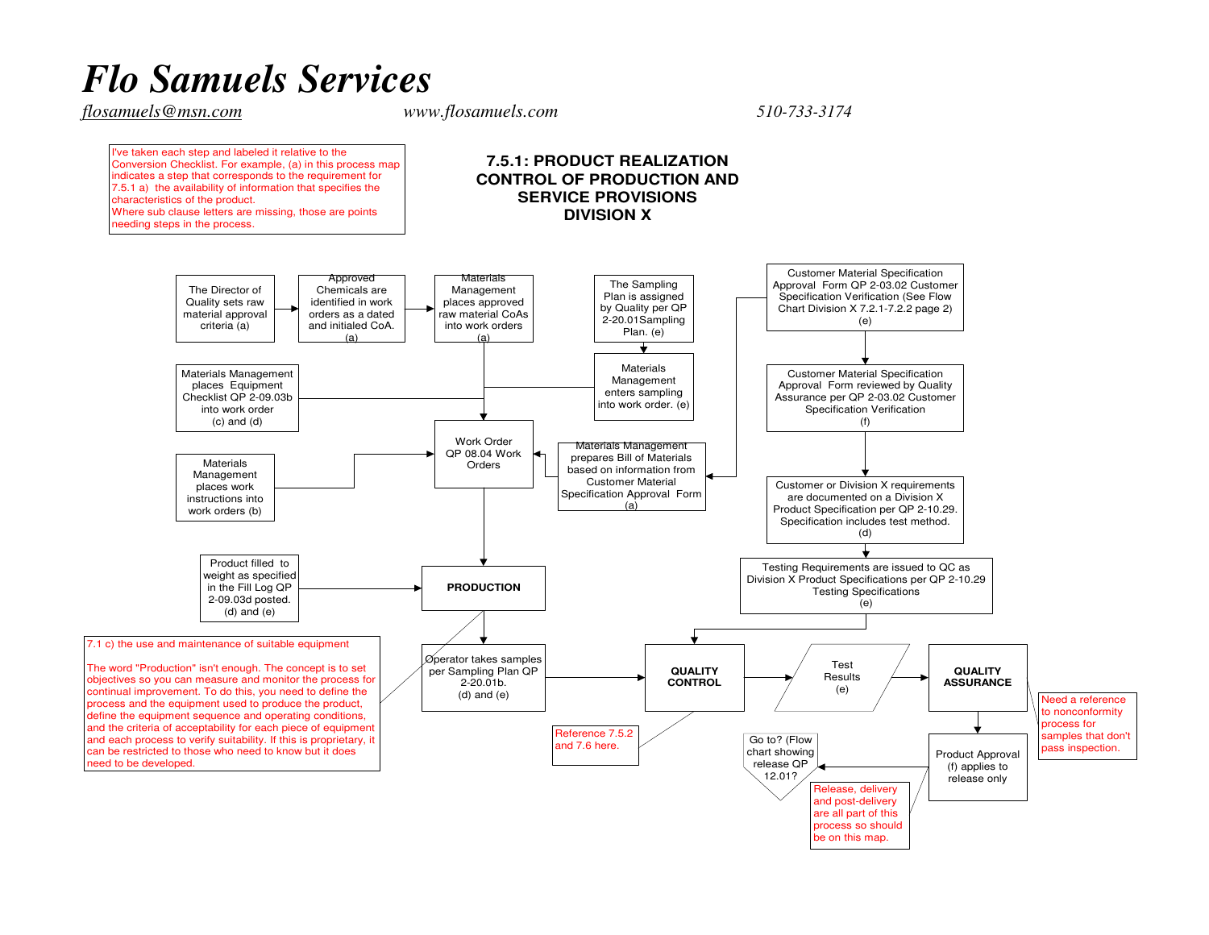## *Flo Samuels Services*

*flosamuels@msn.com www.flosamuels.com 510-733-3174* 

I've taken each step and labeled it relative to the Conversion Checklist. For example, (a) in this process mapindicates a step that corresponds to the requirement for 7.5.1 a) the availability of information that specifies thecharacteristics of the product. Where sub clause letters are missing, those are pointsneeding steps in the process.

## **7.5.1: PRODUCT REALIZATION CONTROL OF PRODUCTION ANDSERVICE PROVISIONSDIVISION X**